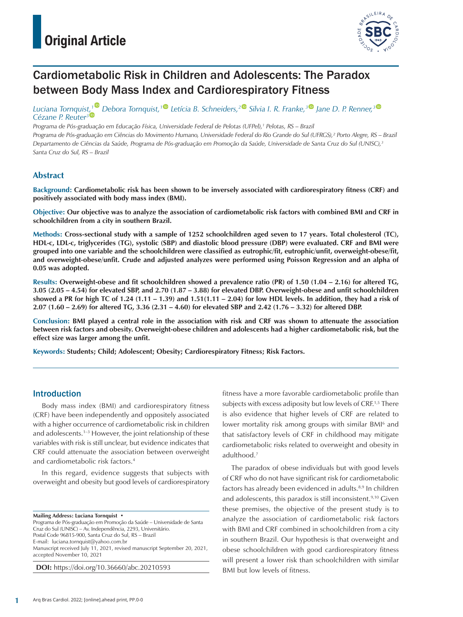

# Cardiometabolic Risk in Children and Adolescents: The Paradox between Body Mass Index and Cardiorespiratory Fitness

*Luciana Tornquis[t,](https://orcid.org/0000-0002-4549-3959)[1](https://orcid.org/0000-0003-2532-3597) Debora Tornquist,[1](https://orcid.org/0000-0002-7363-1669) Letícia B. Schneiders,[2](https://orcid.org/0000-0003-4147-5910) Silvia I. R. Franke,[3](https://orcid.org/0000-0002-1935-3231) Jane D. P. Renner,[3](https://orcid.org/0000-0003-0649-7081) Cézane P. Reuter3*

*Programa de Pós-graduação em Educação Física, Universidade Federal de Pelotas (UFPel),1 Pelotas, RS – Brazil Programa de Pós-graduação em Ciências do Movimento Humano, Universidade Federal do Rio Grande do Sul (UFRGS),² Porto Alegre, RS – Brazil Departamento de Ciências da Saúde, Programa de Pós-graduação em Promoção da Saúde, Universidade de Santa Cruz do Sul (UNISC),3 Santa Cruz do Sul, RS – Brazil*

## **Abstract**

**Background: Cardiometabolic risk has been shown to be inversely associated with cardiorespiratory fitness (CRF) and positively associated with body mass index (BMI).**

**Objective: Our objective was to analyze the association of cardiometabolic risk factors with combined BMI and CRF in schoolchildren from a city in southern Brazil.**

**Methods: Cross-sectional study with a sample of 1252 schoolchildren aged seven to 17 years. Total cholesterol (TC), HDL-c, LDL-c, triglycerides (TG), systolic (SBP) and diastolic blood pressure (DBP) were evaluated. CRF and BMI were grouped into one variable and the schoolchildren were classified as eutrophic/fit, eutrophic/unfit, overweight-obese/fit, and overweight-obese/unfit. Crude and adjusted analyzes were performed using Poisson Regression and an alpha of 0.05 was adopted.**

**Results: Overweight-obese and fit schoolchildren showed a prevalence ratio (PR) of 1.50 (1.04 – 2.16) for altered TG, 3.05 (2.05 – 4.54) for elevated SBP, and 2.70 (1.87 – 3.88) for elevated DBP. Overweight-obese and unfit schoolchildren showed a PR for high TC of 1.24 (1.11 – 1.39) and 1.51(1.11 – 2.04) for low HDL levels. In addition, they had a risk of 2.07 (1.60 – 2.69) for altered TG, 3.36 (2.31 – 4.60) for elevated SBP and 2.42 (1.76 – 3.32) for altered DBP.**

**Conclusion: BMI played a central role in the association with risk and CRF was shown to attenuate the association between risk factors and obesity. Overweight-obese children and adolescents had a higher cardiometabolic risk, but the effect size was larger among the unfit.**

**Keywords: Students; Child; Adolescent; Obesity; Cardiorespiratory Fitness; Risk Factors.**

### Introduction

Body mass index (BMI) and cardiorespiratory fitness (CRF) have been independently and oppositely associated with a higher occurrence of cardiometabolic risk in children and adolescents.<sup>1-3</sup> However, the joint relationship of these variables with risk is still unclear, but evidence indicates that CRF could attenuate the association between overweight and cardiometabolic risk factors.4

In this regard, evidence suggests that subjects with overweight and obesity but good levels of cardiorespiratory

Programa de Pós-graduação em Promoção da Saúde – Universidade de Santa Cruz do Sul (UNISC) – Av. Independência, 2293, Universitário. Postal Code 96815-900, Santa Cruz do Sul, RS – Brazil E-mail: [luciana.tornquist@yahoo.com.br](mailto:luciana.tornquist@yahoo.com.br) Manuscript received July 11, 2021, revised manuscript September 20, 2021, accepted November 10, 2021

**DOI:** https://doi.org/10.36660/abc.20210593

fitness have a more favorable cardiometabolic profile than subjects with excess adiposity but low levels of CRE<sup>1,5</sup> There is also evidence that higher levels of CRF are related to lower mortality risk among groups with similar BMI<sup>6</sup> and that satisfactory levels of CRF in childhood may mitigate cardiometabolic risks related to overweight and obesity in adulthood.7

The paradox of obese individuals but with good levels of CRF who do not have significant risk for cardiometabolic factors has already been evidenced in adults.<sup>8,9</sup> In children and adolescents, this paradox is still inconsistent.<sup>9,10</sup> Given these premises, the objective of the present study is to analyze the association of cardiometabolic risk factors with BMI and CRF combined in schoolchildren from a city in southern Brazil. Our hypothesis is that overweight and obese schoolchildren with good cardiorespiratory fitness will present a lower risk than schoolchildren with similar BMI but low levels of fitness.

**Mailing Address: Luciana Tornquist** •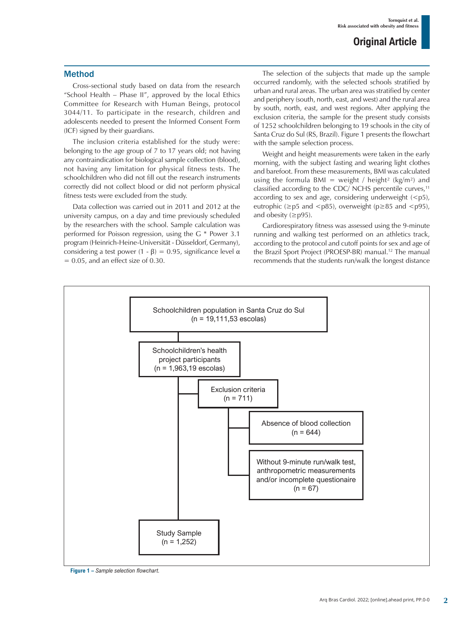### Method

Cross-sectional study based on data from the research "School Health – Phase II", approved by the local Ethics Committee for Research with Human Beings, protocol 3044/11. To participate in the research, children and adolescents needed to present the Informed Consent Form (ICF) signed by their guardians.

The inclusion criteria established for the study were: belonging to the age group of 7 to 17 years old; not having any contraindication for biological sample collection (blood), not having any limitation for physical fitness tests. The schoolchildren who did not fill out the research instruments correctly did not collect blood or did not perform physical fitness tests were excluded from the study.

Data collection was carried out in 2011 and 2012 at the university campus, on a day and time previously scheduled by the researchers with the school. Sample calculation was performed for Poisson regression, using the G \* Power 3.1 program (Heinrich-Heine-Universität - Düsseldorf, Germany), considering a test power  $(1 - \beta) = 0.95$ , significance level  $\alpha$  $= 0.05$ , and an effect size of 0.30.

The selection of the subjects that made up the sample occurred randomly, with the selected schools stratified by urban and rural areas. The urban area was stratified by center and periphery (south, north, east, and west) and the rural area by south, north, east, and west regions. After applying the exclusion criteria, the sample for the present study consists of 1252 schoolchildren belonging to 19 schools in the city of Santa Cruz do Sul (RS, Brazil). Figure 1 presents the flowchart with the sample selection process.

Weight and height measurements were taken in the early morning, with the subject fasting and wearing light clothes and barefoot. From these measurements, BMI was calculated using the formula BMI = weight / height<sup>2</sup> (kg/m<sup>2</sup>) and classified according to the CDC/ NCHS percentile curves, $11$ according to sex and age, considering underweight  $(5

),$ eutrophic ( $\geq p5$  and  $\leq p85$ ), overweight ( $p \geq 85$  and  $\leq p95$ ), and obesity  $(\geq p95)$ .

Cardiorespiratory fitness was assessed using the 9-minute running and walking test performed on an athletics track, according to the protocol and cutoff points for sex and age of the Brazil Sport Project (PROESP-BR) manual.<sup>12</sup> The manual recommends that the students run/walk the longest distance



**Figure 1 –** *Sample selection flowchart.*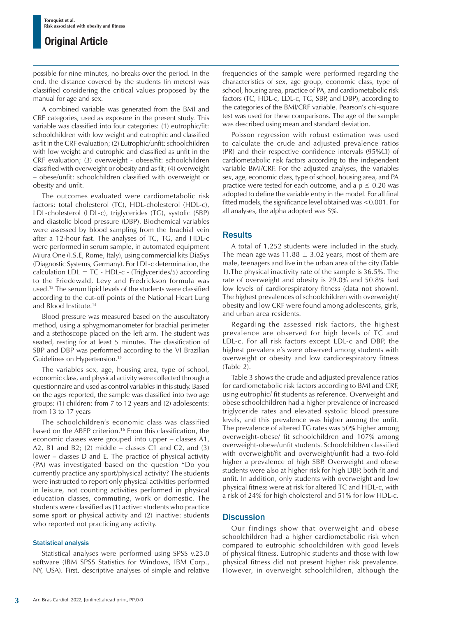possible for nine minutes, no breaks over the period. In the end, the distance covered by the students (in meters) was classified considering the critical values proposed by the manual for age and sex.

A combined variable was generated from the BMI and CRF categories, used as exposure in the present study. This variable was classified into four categories: (1) eutrophic/fit: schoolchildren with low weight and eutrophic and classified as fit in the CRF evaluation; (2) Eutrophic/unfit: schoolchildren with low weight and eutrophic and classified as unfit in the CRF evaluation; (3) overweight - obese/fit: schoolchildren classified with overweight or obesity and as fit; (4) overweight – obese/unfit: schoolchildren classified with overweight or obesity and unfit.

The outcomes evaluated were cardiometabolic risk factors: total cholesterol (TC), HDL-cholesterol (HDL-c), LDL-cholesterol (LDL-c), triglycerides (TG), systolic (SBP) and diastolic blood pressure (DBP). Biochemical variables were assessed by blood sampling from the brachial vein after a 12-hour fast. The analyses of TC, TG, and HDL-c were performed in serum sample, in automated equipment Miura One (I.S.E, Rome, Italy), using commercial kits DiaSys (Diagnostic Systems, Germany). For LDL-c determination, the calculation  $LDL = TC - HDL-c - (Triglycerides/5)$  according to the Friedewald, Levy and Fredrickson formula was used.13 The serum lipid levels of the students were classified according to the cut-off points of the National Heart Lung and Blood Institute.14

Blood pressure was measured based on the auscultatory method, using a sphygmomanometer for brachial perimeter and a stethoscope placed on the left arm. The student was seated, resting for at least 5 minutes. The classification of SBP and DBP was performed according to the VI Brazilian Guidelines on Hypertension.15

The variables sex, age, housing area, type of school, economic class, and physical activity were collected through a questionnaire and used as control variables in this study. Based on the ages reported, the sample was classified into two age groups: (1) children: from 7 to 12 years and (2) adolescents: from 13 to 17 years

The schoolchildren's economic class was classified based on the ABEP criterion.<sup>16</sup> From this classification, the economic classes were grouped into upper – classes A1, A2, B1 and B2; (2) middle  $-$  classes C1 and C2, and (3) lower – classes D and E. The practice of physical activity (PA) was investigated based on the question "Do you currently practice any sport/physical activity? The students were instructed to report only physical activities performed in leisure, not counting activities performed in physical education classes, commuting, work or domestic. The students were classified as (1) active: students who practice some sport or physical activity and (2) inactive: students who reported not practicing any activity.

#### Statistical analysis

Statistical analyses were performed using SPSS v.23.0 software (IBM SPSS Statistics for Windows, IBM Corp., NY, USA). First, descriptive analyses of simple and relative frequencies of the sample were performed regarding the characteristics of sex, age group, economic class, type of school, housing area, practice of PA, and cardiometabolic risk factors (TC, HDL-c, LDL-c, TG, SBP, and DBP), according to the categories of the BMI/CRF variable. Pearson's chi-square test was used for these comparisons. The age of the sample was described using mean and standard deviation.

Poisson regression with robust estimation was used to calculate the crude and adjusted prevalence ratios (PR) and their respective confidence intervals (95%CI) of cardiometabolic risk factors according to the independent variable BMI/CRF. For the adjusted analyses, the variables sex, age, economic class, type of school, housing area, and PA practice were tested for each outcome, and a  $p \le 0.20$  was adopted to define the variable entry in the model. For all final fitted models, the significance level obtained was <0.001. For all analyses, the alpha adopted was 5%.

#### **Results**

A total of 1,252 students were included in the study. The mean age was 11.88  $\pm$  3.02 years, most of them are male, teenagers and live in the urban area of the city (Table 1).The physical inactivity rate of the sample is 36.5%. The rate of overweight and obesity is 29.0% and 50.8% had low levels of cardiorespiratory fitness (data not shown). The highest prevalences of schoolchildren with overweight/ obesity and low CRF were found among adolescents, girls, and urban area residents.

Regarding the assessed risk factors, the highest prevalence are observed for high levels of TC and LDL-c. For all risk factors except LDL-c and DBP, the highest prevalence's were observed among students with overweight or obesity and low cardiorespiratory fitness (Table 2).

Table 3 shows the crude and adjusted prevalence ratios for cardiometabolic risk factors according to BMI and CRF, using eutrophic/ fit students as reference. Overweight and obese schoolchildren had a higher prevalence of increased triglyceride rates and elevated systolic blood pressure levels, and this prevalence was higher among the unfit. The prevalence of altered TG rates was 50% higher among overweight-obese/ fit schoolchildren and 107% among overweight-obese/unfit students. Schoolchildren classified with overweight/fit and overweight/unfit had a two-fold higher a prevalence of high SBP. Overweight and obese students were also at higher risk for high DBP, both fit and unfit. In addition, only students with overweight and low physical fitness were at risk for altered TC and HDL-c, with a risk of 24% for high cholesterol and 51% for low HDL-c.

#### **Discussion**

Our findings show that overweight and obese schoolchildren had a higher cardiometabolic risk when compared to eutrophic schoolchildren with good levels of physical fitness. Eutrophic students and those with low physical fitness did not present higher risk prevalence. However, in overweight schoolchildren, although the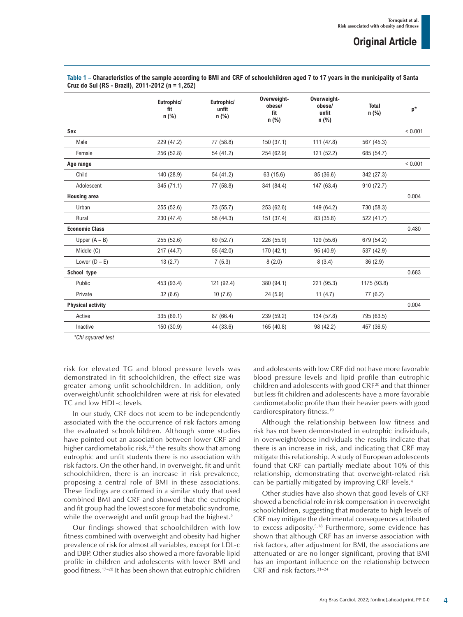|                          | Eutrophic/<br>fit<br>n (%) | Eutrophic/<br>unfit<br>n (%) | Overweight-<br>obese/<br>fit<br>n (%) | Overweight-<br>obese/<br>unfit<br>n (%) | <b>Total</b><br>n (%) | $\mathsf{p}^\star$ |
|--------------------------|----------------------------|------------------------------|---------------------------------------|-----------------------------------------|-----------------------|--------------------|
| Sex                      |                            |                              |                                       |                                         |                       | ${}< 0.001$        |
| Male                     | 229 (47.2)                 | 77 (58.8)                    | 150(37.1)                             | 111 (47.8)                              | 567 (45.3)            |                    |
| Female                   | 256 (52.8)                 | 54 (41.2)                    | 254 (62.9)                            | 121 (52.2)                              | 685 (54.7)            |                    |
| Age range                |                            |                              |                                       |                                         |                       | ${}< 0.001$        |
| Child                    | 140 (28.9)                 | 54 (41.2)                    | 63 (15.6)                             | 85 (36.6)                               | 342 (27.3)            |                    |
| Adolescent               | 345 (71.1)                 | 77 (58.8)                    | 341 (84.4)                            | 147 (63.4)                              | 910 (72.7)            |                    |
| <b>Housing area</b>      |                            |                              |                                       |                                         |                       | 0.004              |
| Urban                    | 255 (52.6)                 | 73 (55.7)                    | 253 (62.6)                            | 149 (64.2)                              | 730 (58.3)            |                    |
| Rural                    | 230 (47.4)                 | 58 (44.3)                    | 151 (37.4)                            | 83 (35.8)                               | 522 (41.7)            |                    |
| <b>Economic Class</b>    |                            |                              |                                       |                                         |                       | 0.480              |
| Upper $(A - B)$          | 255 (52.6)                 | 69 (52.7)                    | 226 (55.9)                            | 129 (55.6)                              | 679 (54.2)            |                    |
| Middle (C)               | 217 (44.7)                 | 55 (42.0)                    | 170 (42.1)                            | 95 (40.9)                               | 537 (42.9)            |                    |
| Lower $(D - E)$          | 13(2.7)                    | 7(5.3)                       | 8(2.0)                                | 8(3.4)                                  | 36(2.9)               |                    |
| School type              |                            |                              |                                       |                                         |                       | 0.683              |
| Public                   | 453 (93.4)                 | 121 (92.4)                   | 380 (94.1)                            | 221 (95.3)                              | 1175 (93.8)           |                    |
| Private                  | 32(6.6)                    | 10(7.6)                      | 24(5.9)                               | 11(4.7)                                 | 77(6.2)               |                    |
| <b>Physical activity</b> |                            |                              |                                       |                                         |                       | 0.004              |
| Active                   | 335 (69.1)                 | 87 (66.4)                    | 239 (59.2)                            | 134 (57.8)                              | 795 (63.5)            |                    |
| Inactive                 | 150 (30.9)                 | 44 (33.6)                    | 165 (40.8)                            | 98 (42.2)                               | 457 (36.5)            |                    |

**Table 1 – Characteristics of the sample according to BMI and CRF of schoolchildren aged 7 to 17 years in the municipality of Santa Cruz do Sul (RS - Brazil), 2011-2012 (n = 1,252)**

*\*Chi squared test*

risk for elevated TG and blood pressure levels was demonstrated in fit schoolchildren, the effect size was greater among unfit schoolchildren. In addition, only overweight/unfit schoolchildren were at risk for elevated TC and low HDL-c levels.

In our study, CRF does not seem to be independently associated with the the occurrence of risk factors among the evaluated schoolchildren. Although some studies have pointed out an association between lower CRF and higher cardiometabolic risk, $2<sup>3</sup>$  the results show that among eutrophic and unfit students there is no association with risk factors. On the other hand, in overweight, fit and unfit schoolchildren, there is an increase in risk prevalence, proposing a central role of BMI in these associations. These findings are confirmed in a similar study that used combined BMI and CRF and showed that the eutrophic and fit group had the lowest score for metabolic syndrome, while the overweight and unfit group had the highest.<sup>5</sup>

Our findings showed that schoolchildren with low fitness combined with overweight and obesity had higher prevalence of risk for almost all variables, except for LDL-c and DBP. Other studies also showed a more favorable lipid profile in children and adolescents with lower BMI and good fitness.17–20 It has been shown that eutrophic children and adolescents with low CRF did not have more favorable blood pressure levels and lipid profile than eutrophic children and adolescents with good CRF<sup>20</sup> and that thinner but less fit children and adolescents have a more favorable cardiometabolic profile than their heavier peers with good cardiorespiratory fitness.19

Although the relationship between low fitness and risk has not been demonstrated in eutrophic individuals, in overweight/obese individuals the results indicate that there is an increase in risk, and indicating that CRF may mitigate this relationship. A study of European adolescents found that CRF can partially mediate about 10% of this relationship, demonstrating that overweight-related risk can be partially mitigated by improving CRF levels.<sup>4</sup>

Other studies have also shown that good levels of CRF showed a beneficial role in risk compensation in overweight schoolchildren, suggesting that moderate to high levels of CRF may mitigate the detrimental consequences attributed to excess adiposity.5,18 Furthermore, some evidence has shown that although CRF has an inverse association with risk factors, after adjustment for BMI, the associations are attenuated or are no longer significant, proving that BMI has an important influence on the relationship between CRF and risk factors.21–24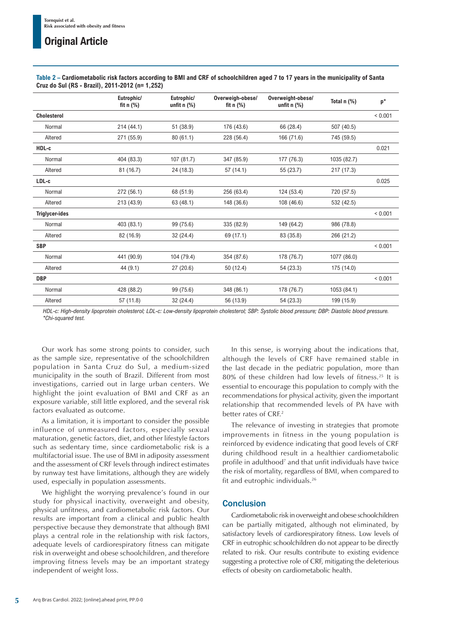|                       | Eutrophic/<br>fit $n$ (%) | Eutrophic/<br>unfit $n$ (%) | Overweigh-obese/<br>fit $n$ (%) | Overweight-obese/<br>unfit $n$ (%) | Total $n$ $%$ ) | $p^*$       |
|-----------------------|---------------------------|-----------------------------|---------------------------------|------------------------------------|-----------------|-------------|
| <b>Cholesterol</b>    |                           |                             |                                 |                                    |                 | < 0.001     |
| Normal                | 214 (44.1)                | 51 (38.9)                   | 176 (43.6)                      | 66 (28.4)                          | 507 (40.5)      |             |
| Altered               | 271 (55.9)                | 80(61.1)                    | 228 (56.4)                      | 166 (71.6)                         | 745 (59.5)      |             |
| HDL-c                 |                           |                             |                                 |                                    |                 | 0.021       |
| Normal                | 404 (83.3)                | 107 (81.7)                  | 347 (85.9)                      | 177 (76.3)                         | 1035 (82.7)     |             |
| Altered               | 81(16.7)                  | 24 (18.3)                   | 57 (14.1)                       | 55 (23.7)                          | 217 (17.3)      |             |
| LDL-c                 |                           |                             |                                 |                                    |                 | 0.025       |
| Normal                | 272 (56.1)                | 68 (51.9)                   | 256 (63.4)                      | 124 (53.4)                         | 720 (57.5)      |             |
| Altered               | 213 (43.9)                | 63 (48.1)                   | 148 (36.6)                      | 108 (46.6)                         | 532 (42.5)      |             |
| <b>Triglycer-ides</b> |                           |                             |                                 |                                    |                 | < 0.001     |
| Normal                | 403 (83.1)                | 99 (75.6)                   | 335 (82.9)                      | 149 (64.2)                         | 986 (78.8)      |             |
| Altered               | 82 (16.9)                 | 32 (24.4)                   | 69 (17.1)                       | 83 (35.8)                          | 266 (21.2)      |             |
| <b>SBP</b>            |                           |                             |                                 |                                    |                 | ${}< 0.001$ |
| Normal                | 441 (90.9)                | 104 (79.4)                  | 354 (87.6)                      | 178 (76.7)                         | 1077 (86.0)     |             |
| Altered               | 44 (9.1)                  | 27 (20.6)                   | 50 (12.4)                       | 54 (23.3)                          | 175 (14.0)      |             |
| <b>DBP</b>            |                           |                             |                                 |                                    |                 | ${}< 0.001$ |
| Normal                | 428 (88.2)                | 99 (75.6)                   | 348 (86.1)                      | 178 (76.7)                         | 1053 (84.1)     |             |
| Altered               | 57 (11.8)                 | 32 (24.4)                   | 56 (13.9)                       | 54 (23.3)                          | 199 (15.9)      |             |
|                       |                           |                             |                                 |                                    |                 |             |

**Table 2 – Cardiometabolic risk factors according to BMI and CRF of schoolchildren aged 7 to 17 years in the municipality of Santa Cruz do Sul (RS - Brazil), 2011-2012 (n= 1,252)**

*HDL-c: High-density lipoprotein cholesterol; LDL-c: Low-density lipoprotein cholesterol; SBP: Systolic blood pressure; DBP: Diastolic blood pressure. \*Chi-squared test.* 

Our work has some strong points to consider, such as the sample size, representative of the schoolchildren population in Santa Cruz do Sul, a medium-sized municipality in the south of Brazil. Different from most investigations, carried out in large urban centers. We highlight the joint evaluation of BMI and CRF as an exposure variable, still little explored, and the several risk factors evaluated as outcome.

As a limitation, it is important to consider the possible influence of unmeasured factors, especially sexual maturation, genetic factors, diet, and other lifestyle factors such as sedentary time, since cardiometabolic risk is a multifactorial issue. The use of BMI in adiposity assessment and the assessment of CRF levels through indirect estimates by runway test have limitations, although they are widely used, especially in population assessments.

We highlight the worrying prevalence's found in our study for physical inactivity, overweight and obesity, physical unfitness, and cardiometabolic risk factors. Our results are important from a clinical and public health perspective because they demonstrate that although BMI plays a central role in the relationship with risk factors, adequate levels of cardiorespiratory fitness can mitigate risk in overweight and obese schoolchildren, and therefore improving fitness levels may be an important strategy independent of weight loss.

In this sense, is worrying about the indications that, although the levels of CRF have remained stable in the last decade in the pediatric population, more than 80% of these children had low levels of fitness.25 It is essential to encourage this population to comply with the recommendations for physical activity, given the important relationship that recommended levels of PA have with better rates of CRE<sup>2</sup>

The relevance of investing in strategies that promote improvements in fitness in the young population is reinforced by evidence indicating that good levels of CRF during childhood result in a healthier cardiometabolic profile in adulthood<sup>7</sup> and that unfit individuals have twice the risk of mortality, regardless of BMI, when compared to fit and eutrophic individuals.26

## **Conclusion**

Cardiometabolic risk in overweight and obese schoolchildren can be partially mitigated, although not eliminated, by satisfactory levels of cardiorespiratory fitness. Low levels of CRF in eutrophic schoolchildren do not appear to be directly related to risk. Our results contribute to existing evidence suggesting a protective role of CRF, mitigating the deleterious effects of obesity on cardiometabolic health.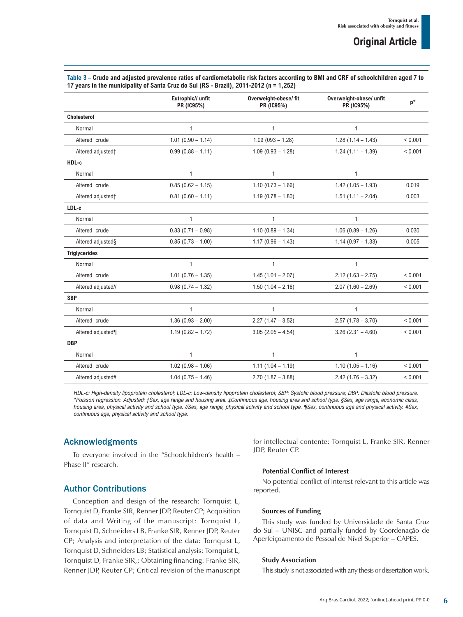| Table 3 – Crude and adjusted prevalence ratios of cardiometabolic risk factors according to BMI and CRF of schoolchildren aged 7 to |
|-------------------------------------------------------------------------------------------------------------------------------------|
| 17 years in the municipality of Santa Cruz do Sul (RS - Brazil), 2011-2012 (n = 1,252)                                              |

|                               | Eutrophic// unfit<br>PR (IC95%) | Overweight-obese/fit<br><b>PR (IC95%)</b> | Overweight-obese/ unfit<br>PR (IC95%) | $p^*$       |
|-------------------------------|---------------------------------|-------------------------------------------|---------------------------------------|-------------|
| <b>Cholesterol</b>            |                                 |                                           |                                       |             |
| Normal                        | $\mathbf{1}$                    | $\mathbf{1}$                              | $\mathbf{1}$                          |             |
| Altered crude                 | $1.01(0.90 - 1.14)$             | $1.09(093 - 1.28)$                        | $1.28(1.14 - 1.43)$                   | ${}< 0.001$ |
| Altered adjusted†             | $0.99(0.88 - 1.11)$             | $1.09$ (0.93 - 1.28)                      | $1.24(1.11 - 1.39)$                   | ${}< 0.001$ |
| HDL-c                         |                                 |                                           |                                       |             |
| Normal                        | $\mathbf{1}$                    | $\mathbf{1}$                              | $\mathbf{1}$                          |             |
| Altered crude                 | $0.85(0.62 - 1.15)$             | $1.10(0.73 - 1.66)$                       | $1.42$ (1.05 - 1.93)                  | 0.019       |
| Altered adjusted <sup>+</sup> | $0.81(0.60 - 1.11)$             | $1.19(0.78 - 1.80)$                       | $1.51(1.11 - 2.04)$                   | 0.003       |
| LDL-c                         |                                 |                                           |                                       |             |
| Normal                        | $\mathbf{1}$                    | $\mathbf{1}$                              | $\mathbf{1}$                          |             |
| Altered crude                 | $0.83(0.71 - 0.98)$             | $1.10(0.89 - 1.34)$                       | $1.06(0.89 - 1.26)$                   | 0.030       |
| Altered adjusted§             | $0.85(0.73 - 1.00)$             | $1.17(0.96 - 1.43)$                       | $1.14(0.97 - 1.33)$                   | 0.005       |
| <b>Triglycerides</b>          |                                 |                                           |                                       |             |
| Normal                        | $\mathbf{1}$                    | $\mathbf{1}$                              | $\mathbf{1}$                          |             |
| Altered crude                 | $1.01(0.76 - 1.35)$             | $1.45(1.01 - 2.07)$                       | $2.12(1.63 - 2.75)$                   | ${}< 0.001$ |
| Altered adjusted//            | $0.98(0.74 - 1.32)$             | $1.50(1.04 - 2.16)$                       | $2.07(1.60 - 2.69)$                   | ${}< 0.001$ |
| <b>SBP</b>                    |                                 |                                           |                                       |             |
| Normal                        | $\mathbf{1}$                    | $\mathbf{1}$                              | $\mathbf{1}$                          |             |
| Altered crude                 | $1.36(0.93 - 2.00)$             | $2.27(1.47 - 3.52)$                       | $2.57(1.78 - 3.70)$                   | ${}< 0.001$ |
| Altered adjusted¶             | $1.19(0.82 - 1.72)$             | $3.05(2.05 - 4.54)$                       | $3.26$ (2.31 - 4.60)                  | ${}< 0.001$ |
| <b>DBP</b>                    |                                 |                                           |                                       |             |
| Normal                        | $\mathbf{1}$                    | $\mathbf{1}$                              | $\mathbf{1}$                          |             |
| Altered crude                 | $1.02(0.98 - 1.06)$             | $1.11(1.04 - 1.19)$                       | $1.10(1.05 - 1.16)$                   | ${}< 0.001$ |
| Altered adjusted#             | $1.04(0.75 - 1.46)$             | $2.70(1.87 - 3.88)$                       | $2.42$ (1.76 - 3.32)                  | ${}< 0.001$ |

*HDL-c: High-density lipoprotein cholesterol; LDL-c: Low-density lipoprotein cholesterol; SBP: Systolic blood pressure; DBP: Diastolic blood pressure. \*Poisson regression. Adjusted: †Sex, age range and housing area. ‡Continuous age, housing area and school type. §Sex, age range, economic class, housing area, physical activity and school type. //Sex, age range, physical activity and school type. ¶Sex, continuous age and physical activity. #Sex, continuous age, physical activity and school type.*

## Acknowledgments

To everyone involved in the "Schoolchildren's health – Phase II" research.

## Author Contributions

Conception and design of the research: Tornquist L, Tornquist D, Franke SIR, Renner JDP, Reuter CP; Acquisition of data and Writing of the manuscript: Tornquist L, Tornquist D, Schneiders LB, Franke SIR, Renner JDP, Reuter CP; Analysis and interpretation of the data: Tornquist L, Tornquist D, Schneiders LB; Statistical analysis: Tornquist L, Tornquist D, Franke SIR,; Obtaining financing: Franke SIR, Renner JDP, Reuter CP; Critical revision of the manuscript for intellectual contente: Tornquist L, Franke SIR, Renner JDP, Reuter CP.

### **Potential Conflict of Interest**

No potential conflict of interest relevant to this article was reported.

#### **Sources of Funding**

This study was funded by Universidade de Santa Cruz do Sul – UNISC and partially funded by Coordenação de Aperfeiçoamento de Pessoal de Nível Superior – CAPES.

#### **Study Association**

This study is not associated with any thesis or dissertation work.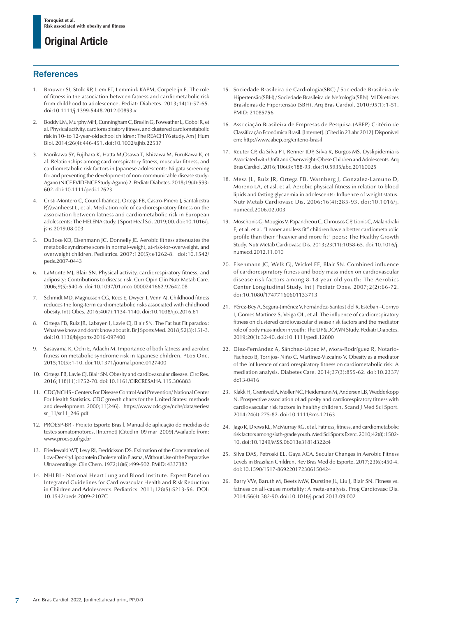### **References**

- Brouwer SI, Stolk RP, Liem ET, Lemmink KAPM, Corpeleijn E. The role of fitness in the association between fatness and cardiometabolic risk from childhood to adolescence. Pediatr Diabetes. 2013;14(1):57-65. doi:10.1111/j.1399-5448.2012.00893.x
- 2. Boddy LM, Murphy MH, Cunningham C, Breslin G, Foweather L, Gobbi R, et al. Physical activity, cardiorespiratory fitness, and clustered cardiometabolic risk in 10- to 12-year-old school children: The REACH Y6 study. Am J Hum Biol. 2014;26(4):446-451. doi:10.1002/ajhb.22537
- 3. Morikawa SY, Fujihara K, Hatta M,Osawa T, Ishizawa M, FuruKawa K, et al. Relationships among cardiorespiratory fitness, muscular fitness, and cardiometabolic risk factors in Japanese adolescents: Niigata screening for and preventing the development of non-communicable disease study-Agano (NICE EVIDENCE Study-Agano) 2. Pediatr Diabetes. 2018;19(4):593- 602. doi:10.1111/pedi.12623
- 4. Cristi-Montero C, Courel-Ibáñez J, Ortega FB, Castro-Pinero J, Santaliestra P.\\\vanheest L, et al. Mediation role of cardiorespiratory fitness on the association between fatness and cardiometabolic risk in European adolescents: The HELENA study. J Sport Heal Sci. 2019;00. doi:10.1016/j. jshs.2019.08.003
- 5. DuBose KD, Eisenmann JC, Donnelly JE. Aerobic fitness attenuates the metabolic syndrome score in normal-weight, at-risk-for-overweight, and overweight children. Pediatrics. 2007;120(5):e1262-8. doi:10.1542/ peds.2007-0443
- 6. LaMonte MJ, Blair SN. Physical activity, cardiorespiratory fitness, and adiposity: Contributions to disease risk. Curr Opin Clin Nutr Metab Care. 2006;9(5):540-6. doi:10.1097/01.mco.0000241662.92642.08
- 7. Schmidt MD, Magnussen CG, Rees E, Dwyer T, Venn AJ. Childhood fitness reduces the long-term cardiometabolic risks associated with childhood obesity. Int J Obes. 2016;40(7):1134-1140. doi:10.1038/ijo.2016.61
- 8. Ortega FB, Ruiz JR, Labayen I, Lavie CJ, Blair SN. The Fat but Fit paradox: What we know and don't know about it. Br J Sports Med. 2018;52(3):151-3. doi:10.1136/bjsports-2016-097400
- 9. Sasayama K, Ochi E, Adachi M. Importance of both fatness and aerobic fitness on metabolic syndrome risk in Japanese children. PLoS One. 2015;10(5):1-10. doi:10.1371/journal.pone.0127400
- 10. Ortega FB, Lavie CJ, Blair SN. Obesity and cardiovascular disease. Circ Res. 2016;118(11):1752-70. doi:10.1161/CIRCRESAHA.115.306883
- 11. CDC/NCHS Centers For Disease Control And Prevention/ National Center For Health Statistics. CDC growth charts for the United States: methods and development. 2000;11(246). https://www.cdc.gov/nchs/data/series/ sr\_11/sr11\_246.pdf
- 12. PROESP-BR Projeto Esporte Brasil. Manual de aplicação de medidas de testes somatomotores. [Internet] [Cited in 09 mar 2009] Available from: www.proesp.ufrgs.br
- 13. Friedewald WT, Levy RI, Fredrickson DS. Estimation of the Concentration of Low-Density Lipoprotein Cholesterol in Plasma, Without Use of the Preparative Ultracentrifuge. Clin Chem. 1972;18(6):499-502. PMID: 4337382
- 14. NHLBI National Heart Lung and Blood Institute. Expert Panel on Integrated Guidelines for Cardiovascular Health and Risk Reduction in Children and Adolescents. Pediatrics. 2011;128(5):S213-56. DOI: [10.1542/peds.2009-2107C](https://doi.org/10.1542/peds.2009-2107c)
- 15. Sociedade Brasileira de Cardiologia(SBC) / Sociedade Brasileira de Hipertensão(SBH) / Sociedade Brasileira de Nefrologia(SBN). VI Diretrizes Brasileiras de Hipertensão (SBH). Arq Bras Cardiol. 2010;95(1):1-51. PMID: 21085756
- 16. Associação Brasileira de Empresas de Pesquisa.(ABEP) Critério de Classificação Econômica Brasil. [Internet]. [Cited in 23 abr 2012] Disponível em: http://www.abep.org/criterio-brasil
- 17. Reuter CP, da Silva PT, Renner JDP, Silva R, Burgos MS. Dyslipidemia is Associated with Unfit and Overweight-Obese Children and Adolescents. Arq Bras Cardiol. 2016;106(3):188-93. doi:10.5935/abc.20160025
- 18. Mesa JL, Ruiz JR, Ortega FB, Warnberg J, Gonzalez-Lamuno D, Moreno LA, et asl. et al. Aerobic physical fitness in relation to blood lipids and fasting glycaemia in adolescents: Influence of weight status. Nutr Metab Cardiovasc Dis. 2006;16(4):285-93. doi:10.1016/j. numecd.2006.02.003
- 19. Moschonis G, Mougios V, Papandreou C, Chrousos GP, Lionis C, Malandraki E, et al. et al. "Leaner and less fit" children have a better cardiometabolic profile than their "heavier and more fit" peers: The Healthy Growth Study. Nutr Metab Cardiovasc Dis. 2013;23(11):1058-65. doi:10.1016/j. numecd.2012.11.010
- 20. Eisenmann JC, Welk GJ, Wickel EE, Blair SN. Combined influence of cardiorespiratory fitness and body mass index on cardiovascular disease risk factors among 8-18 year old youth: The Aerobics Center Longitudinal Study. Int J Pediatr Obes. 2007;2(2):66-72. doi:10.1080/17477160601133713
- 21. Pérez-Bey A, Segura-Jiménez V, Fernández-Santos J del R, Esteban –Cornyo I, Gomes Martinez S, Veiga OL, et al. The influence of cardiorespiratory fitness on clustered cardiovascular disease risk factors and the mediator role of body mass index in youth: The UP&DOWN Study. Pediatr Diabetes. 2019;20(1):32-40. doi:10.1111/pedi.12800
- 22. Díez-Fernández A, Sánchez-López M, Mora-Rodríguez R, Notario-Pacheco B, Torrijos- Niño C, Martínez-Vizcaíno V. Obesity as a mediator of the inf luence of cardiorespiratory fitness on cardiometabolic risk: A mediation analysis. Diabetes Care. 2014;37(3):855-62. doi:10.2337/ dc13-0416
- 23. Klakk H, Grøntved A, Møller NC, Heidemann M, Andersen LB, Wedderkopp N. Prospective association of adiposity and cardiorespiratory fitness with cardiovascular risk factors in healthy children. Scand J Med Sci Sport. 2014;24(4):275-82. doi:10.1111/sms.12163
- 24. Jago R, Drews KL, McMurray RG, et al. Fatness, fitness, and cardiometabolic risk factors among sixth-grade youth. Med Sci Sports Exerc. 2010;42(8):1502- 10. doi:10.1249/MSS.0b013e3181d322c4
- 25. Silva DAS, Petroski EL, Gaya ACA. Secular Changes in Aerobic Fitness Levels in Brazilian Children. Rev Bras Med do Esporte. 2017;23(6):450-4. doi:10.1590/1517-869220172306150424
- 26. Barry VW, Baruth M, Beets MW, Durstine JL, Liu J, Blair SN. Fitness vs. fatness on all-cause mortality: A meta-analysis. Prog Cardiovasc Dis. 2014;56(4):382-90. doi:10.1016/j.pcad.2013.09.002